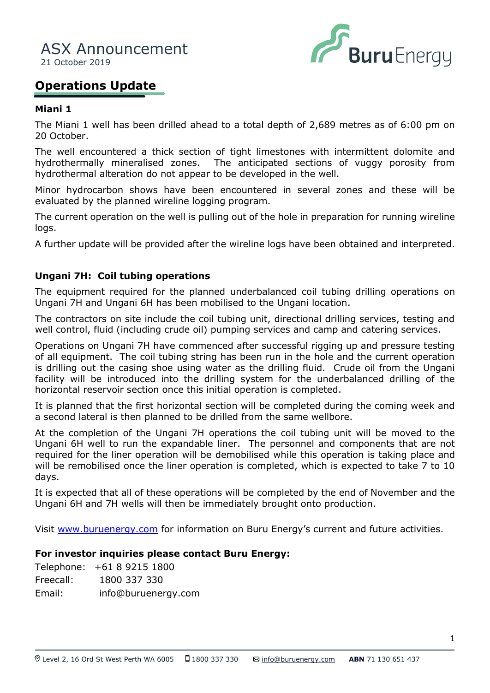

# **Operations Update**

## **Miani 1**

The Miani 1 well has been drilled ahead to a total depth of 2,689 metres as of 6:00 pm on 20 October.

The well encountered a thick section of tight limestones with intermittent dolomite and hydrothermally mineralised zones. The anticipated sections of vuggy porosity from hydrothermal alteration do not appear to be developed in the well.

evaluated by the planned wireline logging program. Minor hydrocarbon shows have been encountered in several zones and these will be

If the current operation on the well is pulling out of the hole in preparation for running wireline logs.

A further update will be provided after the wireline logs have been obtained and interpreted.

### **Ungani 7H: Coil tubing operations**

The equipment required for the planned underbalanced coil tubing drilling operations on Ungani 7H and Ungani 6H has been mobilised to the Ungani location.

The contractors on site include the coil tubing unit, directional drilling services, testing and well control, fluid (including crude oil) pumping services and camp and catering services.

Operations on Ungani 7H have commenced after successful rigging up and pressure testing of all equipment. The coil tubing string has been run in the hole and the current operation is drilling out the casing shoe using water as the drilling fluid. Crude oil from the Ungani facility will be introduced into the drilling system for the underbalanced drilling of the horizontal reservoir section once this initial operation is completed.

It is planned that the first horizontal section will be completed during the coming week and a second lateral is then planned to be drilled from the same wellbore.

At the completion of the Ungani 7H operations the coil tubing unit will be moved to the Ungani 6H well to run the expandable liner. The personnel and components that are not required for the liner operation will be demobilised while this operation is taking place and will be remobilised once the liner operation is completed, which is expected to take 7 to 10 days.

It is expected that all of these operations will be completed by the end of November and the Ungani 6H and 7H wells will then be immediately brought onto production.

Visit [www.buruenergy.com](http://www.buruenergy.com/) for information on Buru Energy's current and future activities.

### **For investor inquiries please contact Buru Energy:**

Telephone: +61 8 9215 1800 Freecall: 1800 337 330 Email: [info@buruenergy.com](mailto:info@buruenergy.com)